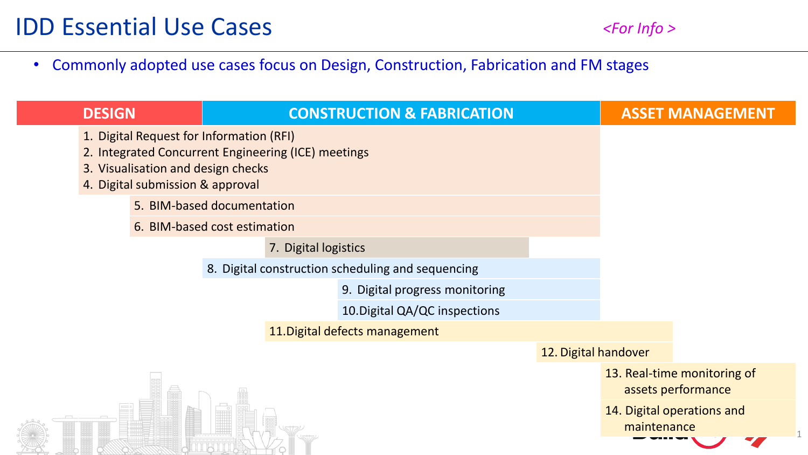$\overline{1}$ 

## • Commonly adopted use cases focus on Design, Construction, Fabrication and FM stages

| <b>DESIGN</b> |                                                                                                                                                                           | <b>CONSTRUCTION &amp; FABRICATION</b> |                                |                                |                      |                                                   | <b>ASSET MANAGEMENT</b>    |
|---------------|---------------------------------------------------------------------------------------------------------------------------------------------------------------------------|---------------------------------------|--------------------------------|--------------------------------|----------------------|---------------------------------------------------|----------------------------|
|               | 1. Digital Request for Information (RFI)<br>2. Integrated Concurrent Engineering (ICE) meetings<br>3. Visualisation and design checks<br>4. Digital submission & approval |                                       |                                |                                |                      |                                                   |                            |
|               | 5. BIM-based documentation                                                                                                                                                |                                       |                                |                                |                      |                                                   |                            |
|               | 6. BIM-based cost estimation                                                                                                                                              |                                       |                                |                                |                      |                                                   |                            |
|               | 7. Digital logistics                                                                                                                                                      |                                       |                                |                                |                      |                                                   |                            |
|               | 8. Digital construction scheduling and sequencing                                                                                                                         |                                       |                                |                                |                      |                                                   |                            |
|               |                                                                                                                                                                           |                                       |                                | 9. Digital progress monitoring |                      |                                                   |                            |
|               |                                                                                                                                                                           |                                       |                                | 10. Digital QA/QC inspections  |                      |                                                   |                            |
|               |                                                                                                                                                                           |                                       | 11. Digital defects management |                                |                      |                                                   |                            |
|               |                                                                                                                                                                           |                                       |                                |                                | 12. Digital handover |                                                   |                            |
|               |                                                                                                                                                                           |                                       |                                |                                |                      | 13. Real-time monitoring of<br>assets performance |                            |
|               |                                                                                                                                                                           |                                       |                                |                                |                      | maintenance                                       | 14. Digital operations and |
|               |                                                                                                                                                                           |                                       |                                |                                |                      |                                                   |                            |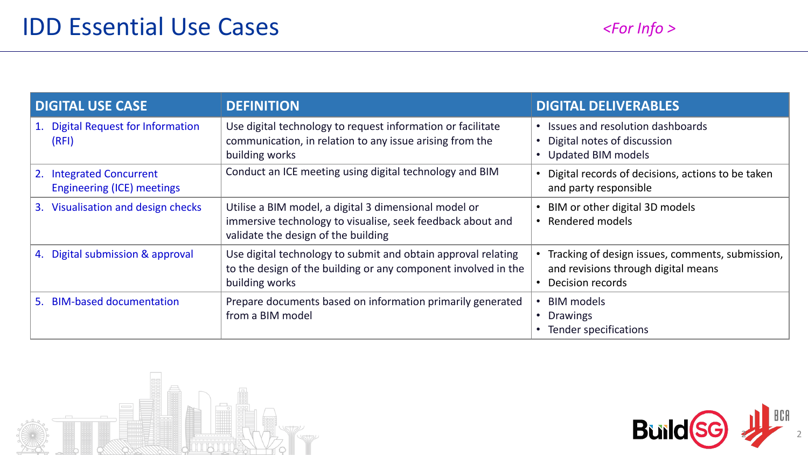| <b>DIGITAL USE CASE</b>                                                 | <b>DEFINITION</b>                                                                                                                                          | <b>DIGITAL DELIVERABLES</b>                                                                                   |  |
|-------------------------------------------------------------------------|------------------------------------------------------------------------------------------------------------------------------------------------------------|---------------------------------------------------------------------------------------------------------------|--|
| <b>Digital Request for Information</b><br>(RFI)                         | Use digital technology to request information or facilitate<br>communication, in relation to any issue arising from the<br>building works                  | • Issues and resolution dashboards<br>• Digital notes of discussion<br>• Updated BIM models                   |  |
| <b>Integrated Concurrent</b><br>2.<br><b>Engineering (ICE) meetings</b> | Conduct an ICE meeting using digital technology and BIM                                                                                                    | • Digital records of decisions, actions to be taken<br>and party responsible                                  |  |
| 3. Visualisation and design checks                                      | Utilise a BIM model, a digital 3 dimensional model or<br>immersive technology to visualise, seek feedback about and<br>validate the design of the building | • BIM or other digital 3D models<br>• Rendered models                                                         |  |
| 4. Digital submission & approval                                        | Use digital technology to submit and obtain approval relating<br>to the design of the building or any component involved in the<br>building works          | Tracking of design issues, comments, submission,<br>and revisions through digital means<br>• Decision records |  |
| <b>BIM-based documentation</b><br>5.                                    | Prepare documents based on information primarily generated<br>from a BIM model                                                                             | • BIM models<br>• Drawings<br>Tender specifications                                                           |  |



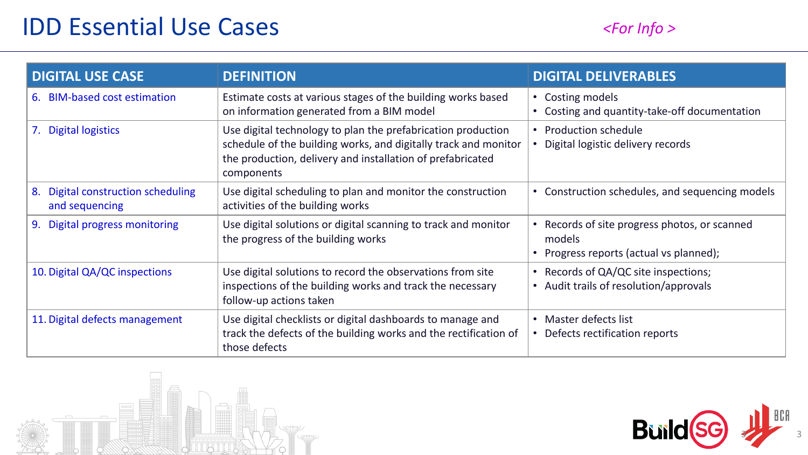## IDD Essential Use Cases

| <b>DIGITAL USE CASE</b>                                 | <b>DEFINITION</b>                                                                                                                                                                                           | <b>DIGITAL DELIVERABLES</b>                                                                        |
|---------------------------------------------------------|-------------------------------------------------------------------------------------------------------------------------------------------------------------------------------------------------------------|----------------------------------------------------------------------------------------------------|
| <b>BIM-based cost estimation</b><br>6.                  | Estimate costs at various stages of the building works based<br>on information generated from a BIM model                                                                                                   | • Costing models<br>• Costing and quantity-take-off documentation                                  |
| 7. Digital logistics                                    | Use digital technology to plan the prefabrication production<br>schedule of the building works, and digitally track and monitor<br>the production, delivery and installation of prefabricated<br>components | • Production schedule<br>• Digital logistic delivery records                                       |
| Digital construction scheduling<br>8.<br>and sequencing | Use digital scheduling to plan and monitor the construction<br>activities of the building works                                                                                                             | • Construction schedules, and sequencing models                                                    |
| Digital progress monitoring<br>9.                       | Use digital solutions or digital scanning to track and monitor<br>the progress of the building works                                                                                                        | • Records of site progress photos, or scanned<br>models<br>• Progress reports (actual vs planned); |
| 10. Digital QA/QC inspections                           | Use digital solutions to record the observations from site<br>inspections of the building works and track the necessary<br>follow-up actions taken                                                          | • Records of QA/QC site inspections;<br>• Audit trails of resolution/approvals                     |
| 11. Digital defects management                          | Use digital checklists or digital dashboards to manage and<br>track the defects of the building works and the rectification of<br>those defects                                                             | • Master defects list<br>• Defects rectification reports                                           |